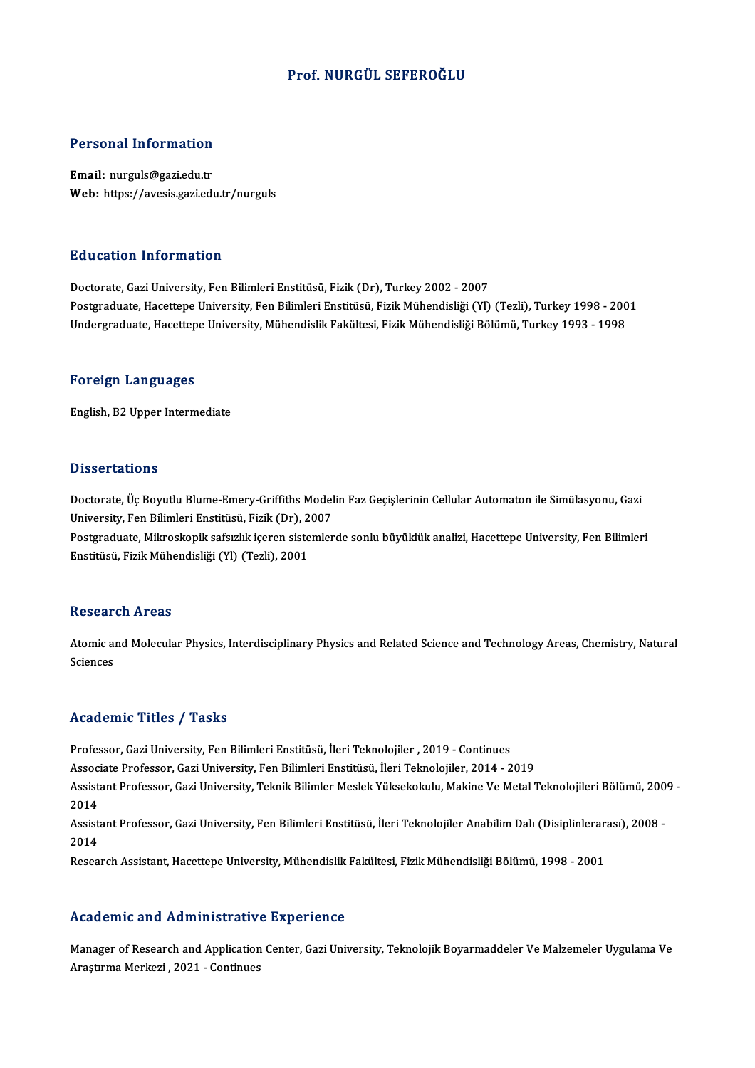# Prof.NURGÜL SEFEROĞLU

# Personal Information

Email: nurguls@gazi.edu.tr Web: https://avesis.gazi.edu.tr/nurguls

# Education Information

Doctorate, Gazi University, Fen Bilimleri Enstitüsü, Fizik (Dr), Turkey 2002 - 2007 Postgraduate, Hacettepe University, Fen Bilimleri Enstitüsü, Fizik Mühendisliği (Yl) (Tezli), Turkey 1998 - 2001 Undergraduate, Hacettepe University, Mühendislik Fakültesi, Fizik Mühendisliği Bölümü, Turkey 1993 - 1998

### Foreign Languages

English,B2Upper Intermediate

# **Dissertations**

Dissertations<br>Doctorate, Üç Boyutlu Blume-Emery-Griffiths Modelin Faz Geçişlerinin Cellular Automaton ile Simülasyonu, Gazi<br>University, Fen Bilimleri Enstitüsü, Fizik (Dr.), 2007 University, Üç Boyutlu Blume-Emery-Griffiths Model<br>University, Fen Bilimleri Enstitüsü, Fizik (Dr), 2007<br>Pestaraduata Mikroskopik safsızlık isaran sistemler Doctorate, Üç Boyutlu Blume-Emery-Griffiths Modelin Faz Geçişlerinin Cellular Automaton ile Simülasyonu, Gazi<br>University, Fen Bilimleri Enstitüsü, Fizik (Dr), 2007<br>Postgraduate, Mikroskopik safsızlık içeren sistemlerde son

University, Fen Bilimleri Enstitüsü, Fizik (Dr), 2007<br>Postgraduate, Mikroskopik safsızlık içeren sistemlerde sonlu büyüklük analizi, Hacettepe University, Fen Bilimleri<br>Enstitüsü, Fizik Mühendisliği (Yl) (Tezli), 2001

### **Research Areas**

Research Areas<br>Atomic and Molecular Physics, Interdisciplinary Physics and Related Science and Technology Areas, Chemistry, Natural Atomic al<br>Sciences Academic Titles / Tasks

Professor, Gazi University, Fen Bilimleri Enstitüsü, İleri Teknolojiler , 2019 - Continues Associate Articus 7 - 1 1911<br>Professor, Gazi University, Fen Bilimleri Enstitüsü, İleri Teknolojiler , 2019 - Continues<br>Associate Professor, Gazi University, Fen Bilimleri Enstitüsü, İleri Teknolojiler, 2014 - 2019<br>Assista

Assistant Professor, Gazi University, Teknik Bilimler Meslek Yüksekokulu, Makine Ve Metal Teknolojileri Bölümü, 2009 -<br>2014 Assoc<br>Assist<br>2014<br>Assist Assistant Professor, Gazi University, Teknik Bilimler Meslek Yüksekokulu, Makine Ve Metal Teknolojileri Bölümü, 200<br>2014<br>Assistant Professor, Gazi University, Fen Bilimleri Enstitüsü, İleri Teknolojiler Anabilim Dalı (Disi

2014<br>Assist<br>2014<br><sup>Resee</sup> Assistant Professor, Gazi University, Fen Bilimleri Enstitüsü, İleri Teknolojiler Anabilim Dalı (Disiplinlerar<br>2014<br>Research Assistant, Hacettepe University, Mühendislik Fakültesi, Fizik Mühendisliği Bölümü, 1998 - 2001

Research Assistant, Hacettepe University, Mühendislik Fakültesi, Fizik Mühendisliği Bölümü, 1998 - 2001<br>Academic and Administrative Experience

Academic and Administrative Experience<br>Manager of Research and Application Center, Gazi University, Teknolojik Boyarmaddeler Ve Malzemeler Uygulama Ve<br>Arastrma Markari, 2021, Continues Aragturine and Administrative<br>Manager of Research and Application<br>Araştırma Merkezi , 2021 - Continues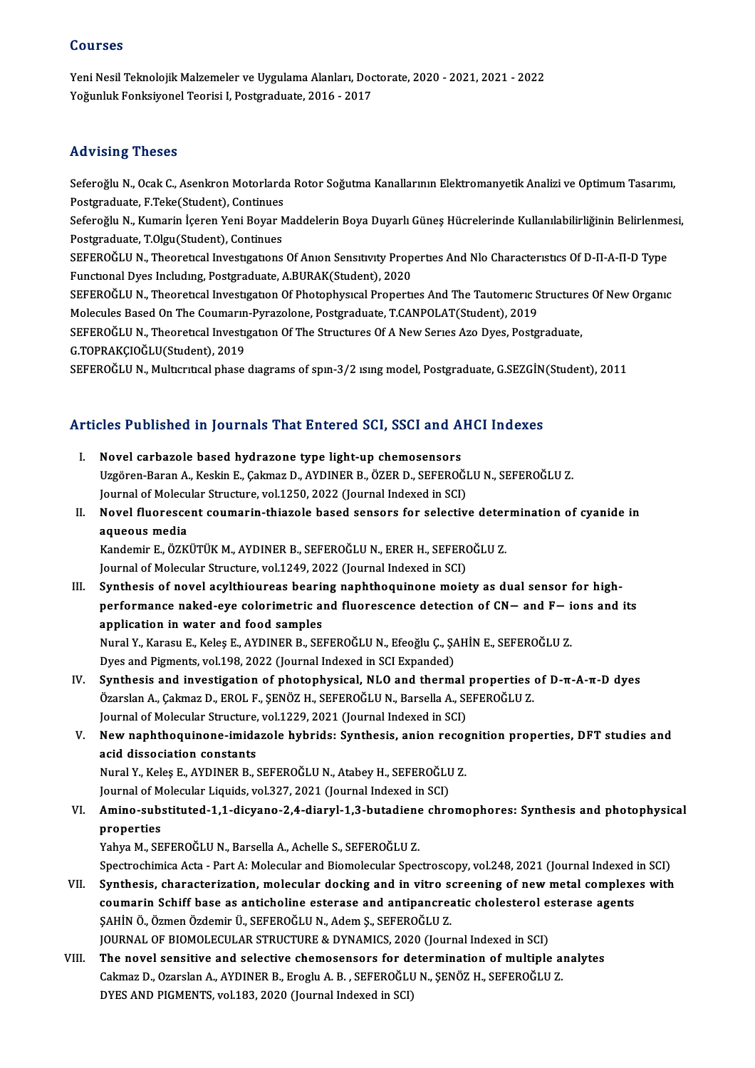# Courses

Courses<br>Yeni Nesil Teknolojik Malzemeler ve Uygulama Alanları, Doctorate, 2020 - 2021, 2021 - 2022<br>Yeğunluk Fenksivanel Teorisi I. Pestanedusta, 2016 - 2017 SSU1988<br>Yeni Nesil Teknolojik Malzemeler ve Uygulama Alanları, Doc<br>Yoğunluk Fonksiyonel Teorisi I, Postgraduate, 2016 - 2017 Yoğunluk Fonksiyonel Teorisi I, Postgraduate, 2016 - 2017<br>Advising Theses

Advising Theses<br>Seferoğlu N., Ocak C., Asenkron Motorlarda Rotor Soğutma Kanallarının Elektromanyetik Analizi ve Optimum Tasarımı,<br>Postanaduata E.Teke(Student), Continues raa viering in 1990<br>Seferoğlu N., Ocak C., Asenkron Motorlard:<br>Postgraduate, F.Teke(Student), Continues<br>Seferoğlu N., Kumanin İsaran Vani Boyar M Seferoğlu N., Kumarin İçeren Yeni Boyar Maddelerin Boya Duyarlı Güneş Hücrelerinde Kullanılabilirliğinin Belirlenmesi,<br>Postgraduate, T.Olgu(Student), Continues Postgraduate, F.Teke(Student), Continues Seferoğlu N., Kumarin İçeren Yeni Boyar Maddelerin Boya Duyarlı Güneş Hücrelerinde Kullanılabilirliğinin Belirlenme<br>Postgraduate, T.Olgu(Student), Continues<br>SEFEROĞLU N., Theoretical Investigations Of Anion Sensitivity Pr Postgraduate, T.Olgu(Student), Continues<br>SEFEROĞLU N., Theoretical Investigations Of Anion Sensitivity Prop<br>Functional Dyes Including, Postgraduate, A.BURAK(Student), 2020<br>SEEEROĞLU N. Theoretical Investigation Of Photophy SEFEROĞLU N., Theoretical Investigations Of Anion Sensitivity Properties And Nlo Characteristics Of D-II-A-II-D Type<br>Functional Dyes Including, Postgraduate, A.BURAK(Student), 2020<br>SEFEROĞLU N., Theoretical Investigation O Functional Dyes Including, Postgraduate, A.BURAK(Student), 2020<br>SEFEROĞLU N., Theoretical Investigation Of Photophysical Properties And The Tautomeric Structures Of New Organic<br>Molecules Based On The Coumarin-Pyrazolone, P SEFEROĞLU N., Theoretical Investigation Of Photophysical Properties And The Tautomeric Structure<br>Molecules Based On The Coumarin-Pyrazolone, Postgraduate, T.CANPOLAT(Student), 2019<br>SEFEROĞLU N., Theoretical Investigation O Molecules Based On The Coumarın<br>SEFEROĞLU N., Theoretical Investi<sub>j</sub><br>G.TOPRAKÇIOĞLU(Student), 2019<br>SEFEROĞLU N. Multarıtaslabase G.TOPRAKÇIOĞLU(Student), 2019<br>SEFEROĞLU N., Multıcrıtıcal phase dıagrams of spın-3/2 ısıng model, Postgraduate, G.SEZGİN(Student), 2011

# SEFEROGLO N., Mulucriucal phase diagrams of spin-3/2 ising model, Postgraduate, G.SEZGIN<br>Articles Published in Journals That Entered SCI, SSCI and AHCI Indexes

- **Tricles Published in Journals That Entered SCI, SSCI and A**<br>I. Novel carbazole based hydrazone type light-up chemosensors<br>Uggeren Baran A. Keskin E. Calmaz D. AVDINER B. ÖZER D. SEEEROČ Novel carbazole based hydrazone type light-up chemosensors<br>Uzgören-Baran A., Keskin E., Çakmaz D., AYDINER B., ÖZER D., SEFEROĞLU N., SEFEROĞLU Z.<br>Journal of Mologylar Structure, vol 1250, 2022 (Journal Indexed in SCI) Novel carbazole based hydrazone type light-up chemosensors<br>Uzgören-Baran A., Keskin E., Çakmaz D., AYDINER B., ÖZER D., SEFEROĞI<br>Journal of Molecular Structure, vol.1250, 2022 (Journal Indexed in SCI)<br>Novel flueressent seu Uzgören-Baran A., Keskin E., Çakmaz D., AYDINER B., ÖZER D., SEFEROĞLU N., SEFEROĞLU Z.<br>Journal of Molecular Structure, vol.1250, 2022 (Journal Indexed in SCI)<br>II. Novel fluorescent coumarin-thiazole based sensors for sele
- Journal of Molecu<br><mark>Novel fluoresce</mark><br>aqueous media<br>Kondemir E. ÖZK Novel fluorescent coumarin-thiazole based sensors for selective deter<br>aqueous media<br>Kandemir E., ÖZKÜTÜK M., AYDINER B., SEFEROĞLU N., ERER H., SEFEROĞLU Z.<br>Journal of Mologular Structure vel 1240-2022 (Journal Indoved in

aqueous media<br>Kandemir E., ÖZKÜTÜK M., AYDINER B., SEFEROĞLU N., ERER H., SEFEROĞLU Z.<br>Journal of Molecular Structure, vol.1249, 2022 (Journal Indexed in SCI)

III. Synthesis of novel acylthioureas bearing naphthoquinone moiety as dual sensor for high-Journal of Molecular Structure, vol.1249, 2022 (Journal Indexed in SCI)<br>Synthesis of novel acylthioureas bearing naphthoquinone moiety as dual sensor for high-<br>performance naked-eye colorimetric and fluorescence detection application in water and food samples performance naked-eye colorimetric and fluorescence detection of CN— and F— i<br>application in water and food samples<br>Nural Y., Karasu E., Keleş E., AYDINER B., SEFEROĞLU N., Efeoğlu Ç., ŞAHİN E., SEFEROĞLU Z.<br>Dues and Birme Nural Y., Karasu E., Keleş E., AYDINER B., SEFEROĞLU N., Efeoğlu Ç., ŞAHİN E., SEFEROĞLU Z.<br>Dyes and Pigments, vol.198, 2022 (Journal Indexed in SCI Expanded)

Nural Y., Karasu E., Keleş E., AYDINER B., SEFEROĞLU N., Efeoğlu Ç., ŞAHİN E., SEFEROĞLU Z.<br>Dyes and Pigments, vol.198, 2022 (Journal Indexed in SCI Expanded)<br>IV. Synthesis and investigation of photophysical, NLO and ther Dyes and Pigments, vol.198, 2022 (Journal Indexed in SCI Expanded)<br>Synthesis and investigation of photophysical, NLO and thermal properties<br>Özarslan A., Çakmaz D., EROL F., ŞENÖZ H., SEFEROĞLU N., Barsella A., SEFEROĞLU Z. Synthesis and investigation of photophysical, NLO and thermal<br>Özarslan A., Çakmaz D., EROL F., ŞENÖZ H., SEFEROĞLU N., Barsella A., SI<br>Journal of Molecular Structure, vol.1229, 2021 (Journal Indexed in SCI)<br>Navy naphthoqui

Özarslan A., Çakmaz D., EROL F., ŞENÖZ H., SEFEROĞLU N., Barsella A., SEFEROĞLU Z.<br>Journal of Molecular Structure, vol.1229, 2021 (Journal Indexed in SCI)<br>V. New naphthoquinone-imidazole hybrids: Synthesis, anion recogniti Journal of Molecular Structure, vol.1229, 2021 (Journal Indexed in SCI)<br>New naphthoquinone-imidazole hybrids: Synthesis, anion recog<br>acid dissociation constants New naphthoquinone-imidazole hybrids: Synthesis, anion recognacid dissociation constants<br>Acid dissociation constants<br>Nural Y., Keleş E., AYDINER B., SEFEROĞLU N., Atabey H., SEFEROĞLU Z.<br>Journal of Mologular Liquids vol.22

Nural Y., Keleş E., AYDINER B., SEFEROĞLU N., Atabey H., SEFEROĞLU Z.<br>Journal of Molecular Liquids, vol.327, 2021 (Journal Indexed in SCI)

# Nural Y., Keleş E., AYDINER B., SEFEROĞLU N., Atabey H., SEFEROĞLU Z.<br>Journal of Molecular Liquids, vol.327, 2021 (Journal Indexed in SCI)<br>VI. Amino-substituted-1,1-dicyano-2,4-diaryl-1,3-butadiene chromophores: Synthesis Journal of M<br><mark>Amino-sub</mark>:<br>properties<br><sup>Vobuo M. SE</sup> Amino-substituted-1,1-dicyano-2,4-diaryl-1,3-butadiene<br>properties<br>Yahya M., SEFEROĞLU N., Barsella A., Achelle S., SEFEROĞLU Z.<br>Spectrochimice Acta - Bart A. Malagylar and Biamalagylar Spec

properties<br>Yahya M., SEFEROĞLU N., Barsella A., Achelle S., SEFEROĞLU Z.<br>Spectrochimica Acta - Part A: Molecular and Biomolecular Spectroscopy, vol.248, 2021 (Journal Indexed in SCI)<br>Synthesis, sharasterisation, molecular

- Yahya M., SEFEROĞLU N., Barsella A., Achelle S., SEFEROĞLU Z.<br>Spectrochimica Acta Part A: Molecular and Biomolecular Spectroscopy, vol.248, 2021 (Journal Indexed in SCI)<br>VII. Synthesis, characterization, molecular dockin Spectrochimica Acta - Part A: Molecular and Biomolecular Spectroscopy, vol.248, 2021 (Journal Indexed<br>Synthesis, characterization, molecular docking and in vitro screening of new metal complexe<br>coumarin Schiff base as anti Synthesis, characterization, molecular docking and in vitro s<br>coumarin Schiff base as anticholine esterase and antipancrea<br>ŞAHİN Ö., Özmen Özdemir Ü., SEFEROĞLU N., Adem Ş., SEFEROĞLU Z.<br>JOUPMAL OF PIOMOLECULAR STRUCTURE & coumarin Schiff base as anticholine esterase and antipancreatic cholesterol esterase agents<br>SAHİN Ö., Özmen Özdemir Ü., SEFEROĞLU N., Adem Ş., SEFEROĞLU Z.<br>JOURNAL OF BIOMOLECULAR STRUCTURE & DYNAMICS, 2020 (Journal Indexe
- VIII. The novel sensitive and selective chemosensors for determination of multiple analytes JOURNAL OF BIOMOLECULAR STRUCTURE & DYNAMICS, 2020 (Journal Indexed in SCI)<br>The novel sensitive and selective chemosensors for determination of multiple and<br>Cakmaz D., Ozarslan A., AYDINER B., Eroglu A. B. , SEFEROĞLU N., The novel sensitive and selective chemosensors for de<br>Cakmaz D., Ozarslan A., AYDINER B., Eroglu A. B. , SEFEROĞLU<br>DYES AND PIGMENTS, vol.183, 2020 (Journal Indexed in SCI)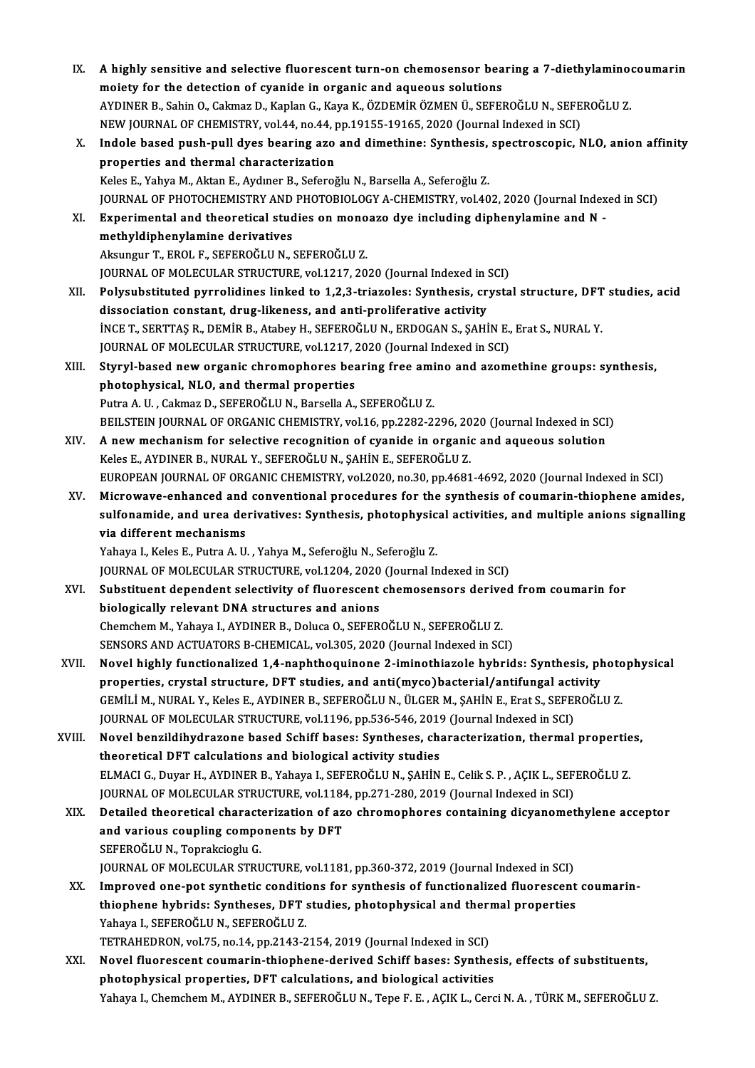IX. A highly sensitive and selective fluorescent turn-on chemosensor bearing a 7-diethylaminocoumarin A highly sensitive and selective fluorescent turn-on chemosensor bea<br>moiety for the detection of cyanide in organic and aqueous solutions<br>AVDINER B. Sohin O. Colmeg D. Kanlan C. Kaya K. ÖZDEMİR ÖZMEN Ü. SEREL A highly sensitive and selective fluorescent turn-on chemosensor bearing a 7-diethylamino<br>moiety for the detection of cyanide in organic and aqueous solutions<br>AYDINER B., Sahin O., Cakmaz D., Kaplan G., Kaya K., ÖZDEMİR ÖZ moiety for the detection of cyanide in organic and aqueous solutions<br>AYDINER B., Sahin O., Cakmaz D., Kaplan G., Kaya K., ÖZDEMİR ÖZMEN Ü., SEFEROĞLU N., SEFEROĞLU Z. X. Indole based push-pull dyes bearing azo and dimethine: Synthesis, spectroscopic, NLO, anion affinity<br>properties and thermal characterization NEW JOURNAL OF CHEMISTRY, vol.44, no.44, pp.19155-19165, 2020 (Journal Indexed in SCI) Keles E., Yahya M., Aktan E., Aydıner B., Seferoğlu N., Barsella A., Seferoğlu Z. JOURNAL OF PHOTOCHEMISTRY AND PHOTOBIOLOGY A-CHEMISTRY, vol.402, 2020 (Journal Indexed in SCI) Keles E., Yahya M., Aktan E., Aydıner B., Seferoğlu N., Barsella A., Seferoğlu Z.<br>JOURNAL OF PHOTOCHEMISTRY AND PHOTOBIOLOGY A-CHEMISTRY, vol.402, 2020 (Journal Index<br>XI. Experimental and theoretical studies on monoazo dye JOURNAL OF PHOTOCHEMISTRY AND<br>Experimental and theoretical student<br>methyldiphenylamine derivatives Experimental and theoretical studies on mono<br>methyldiphenylamine derivatives<br>Aksungur T., EROL F., SEFEROĞLU N., SEFEROĞLU Z.<br>JOUPNAL OF MOLECULAR STRUCTURE vol.1217-20. methyldiphenylamine derivatives<br>Aksungur T., EROL F., SEFEROĞLU N., SEFEROĞLU Z.<br>JOURNAL OF MOLECULAR STRUCTURE, vol.1217, 2020 (Journal Indexed in SCI) XII. Polysubstituted pyrrolidines linked to 1,2,3-triazoles: Synthesis, crystal structure, DFT studies, acid dissociation constant, drug-likeness, and anti-proliferative activity Polysubstituted pyrrolidines linked to 1,2,3-triazoles: Synthesis, crystal structure, DFT<br>dissociation constant, drug-likeness, and anti-proliferative activity<br>INCE T., SERTTAŞ R., DEMİR B., Atabey H., SEFEROĞLU N., ERDOGA dissociation constant, drug-likeness, and anti-proliferative activity<br>INCE T., SERTTAŞ R., DEMİR B., Atabey H., SEFEROĞLU N., ERDOGAN S., ŞAHİN E.,<br>JOURNAL OF MOLECULAR STRUCTURE, vol.1217, 2020 (Journal Indexed in SCI)<br>St iNCE T., SERTTAŞ R., DEMİR B., Atabey H., SEFEROĞLU N., ERDOGAN S., ŞAHİN E., Erat S., NURAL Y.<br>JOURNAL OF MOLECULAR STRUCTURE, vol.1217, 2020 (Journal Indexed in SCI)<br>XIII. Styryl-based new organic chromophores bearing fr JOURNAL OF MOLECULAR STRUCTURE, vol.1217, 2020 (Journal Indexed in SCI)<br>Styryl-based new organic chromophores bearing free amino and azom<br>photophysical, NLO, and thermal properties<br>Putra A. U., Cakmaz D., SEFEROĞLU N., Bar Styryl-based new organic chromophores bearing free ami<br>photophysical, NLO, and thermal properties<br>Putra A. U. , Cakmaz D., SEFEROĞLU N., Barsella A., SEFEROĞLU Z.<br>PEU STEIN JOUPNAL OF OPCANIC CUEMISTRY, vol.16, pp.2292.2. photophysical, NLO, and thermal properties<br>Putra A. U. , Cakmaz D., SEFEROĞLU N., Barsella A., SEFEROĞLU Z.<br>BEILSTEIN JOURNAL OF ORGANIC CHEMISTRY, vol.16, pp.2282-2296, 2020 (Journal Indexed in SCI)<br>A new mechanism for se Putra A. U. , Cakmaz D., SEFEROĞLU N., Barsella A., SEFEROĞLU Z.<br>BEILSTEIN JOURNAL OF ORGANIC CHEMISTRY, vol.16, pp.2282-2296, 2020 (Journal Indexed in SCI<br>XIV. A new mechanism for selective recognition of cyanide in o BEILSTEIN JOURNAL OF ORGANIC CHEMISTRY, vol.16, pp.2282-2296, 20<br>A new mechanism for selective recognition of cyanide in organic<br>Keles E., AYDINER B., NURAL Y., SEFEROĞLU N., ŞAHİN E., SEFEROĞLU Z.<br>FUROPEAN JOURNAL OF ORGA A new mechanism for selective recognition of cyanide in organic and aqueous solution<br>Keles E., AYDINER B., NURAL Y., SEFEROĞLU N., ŞAHİN E., SEFEROĞLU Z.<br>EUROPEAN JOURNAL OF ORGANIC CHEMISTRY, vol.2020, no.30, pp.4681-4692 Keles E., AYDINER B., NURAL Y., SEFEROĞLU N., ŞAHİN E., SEFEROĞLU Z.<br>EUROPEAN JOURNAL OF ORGANIC CHEMISTRY, vol.2020, no.30, pp.4681-4692, 2020 (Journal Indexed in SCI)<br>XV. Microwave-enhanced and conventional procedures fo EUROPEAN JOURNAL OF ORGANIC CHEMISTRY, vol.2020, no.30, pp.4681-4692, 2020 (Journal Indexed in SCI)<br>Microwave-enhanced and conventional procedures for the synthesis of coumarin-thiophene amides,<br>sulfonamide, and urea deriv Microwave-enhanced and conventional procedures for the synthesis of coumarin-thiophene amides, sulfonamide, and urea derivatives: Synthesis, photophysical activities, and multiple anions signalling via different mechanisms sulfonamide, and urea derivatives: Synthesis, photophysical activities, and multiple anions signalling JOURNAL OF MOLECULAR STRUCTURE, vol.1204, 2020 (Journal Indexed in SCI) Yahaya I., Keles E., Putra A. U. , Yahya M., Seferoğlu N., Seferoğlu Z.<br>JOURNAL OF MOLECULAR STRUCTURE, vol.1204, 2020 (Journal Indexed in SCI)<br>XVI. Substituent dependent selectivity of fluorescent chemosensors derived fro JOURNAL OF MOLECULAR STRUCTURE, vol.1204, 2020<br>Substituent dependent selectivity of fluorescent<br>biologically relevant DNA structures and anions<br>Chamsham M. Yahawa L. AYDINER B. Dalyas O. SEEER. Substituent dependent selectivity of fluorescent chemosensors derive<br>biologically relevant DNA structures and anions<br>Chemchem M., Yahaya I., AYDINER B., Doluca O., SEFEROĞLU N., SEFEROĞLU Z.<br>SENSORS AND ACTUATORS B. CHEMIC biologically relevant DNA structures and anions<br>Chemchem M., Yahaya I., AYDINER B., Doluca O., SEFEROĞLU N., SEFEROĞLU Z.<br>SENSORS AND ACTUATORS B-CHEMICAL, vol.305, 2020 (Journal Indexed in SCI) Chemchem M., Yahaya I., AYDINER B., Doluca O., SEFEROĞLU N., SEFEROĞLU Z.<br>SENSORS AND ACTUATORS B-CHEMICAL, vol.305, 2020 (Journal Indexed in SCI)<br>XVII. Novel highly functionalized 1,4-naphthoquinone 2-iminothiazole hybrid SENSORS AND ACTUATORS B-CHEMICAL, vol.305, 2020 (Journal Indexed in SCI)<br>Novel highly functionalized 1,4-naphthoquinone 2-iminothiazole hybrids: Synthesis, pl<br>properties, crystal structure, DFT studies, and anti(myco)bacte Novel highly functionalized 1,4-naphthoquinone 2-iminothiazole hybrids: Synthesis, photo<br>properties, crystal structure, DFT studies, and anti(myco)bacterial/antifungal activity<br>GEMİLİ M., NURAL Y., Keles E., AYDINER B., SE properties, crystal structure, DFT studies, and anti(myco)bacterial/antifungal acti<br>GEMİLİ M., NURAL Y., Keles E., AYDINER B., SEFEROĞLU N., ÜLGER M., ŞAHİN E., Erat S., SEFEI<br>JOURNAL OF MOLECULAR STRUCTURE, vol.1196, pp.5 GEMİLİ M., NURAL Y., Keles E., AYDINER B., SEFEROĞLU N., ÜLGER M., ŞAHİN E., Erat S., SEFEROĞLU Z.<br>JOURNAL OF MOLECULAR STRUCTURE, vol.1196, pp.536-546, 2019 (Journal Indexed in SCI)<br>XVIII. Novel benzildihydrazone based Sc JOURNAL OF MOLECULAR STRUCTURE, vol.1196, pp.536-546, 2019 (Journal Indexed in SCI)<br>Novel benzildihydrazone based Schiff bases: Syntheses, characterization, thermal<br>theoretical DFT calculations and biological activity stud Novel benzildihydrazone based Schiff bases: Syntheses, characterization, thermal properties,<br>theoretical DFT calculations and biological activity studies<br>ELMACI G., Duyar H., AYDINER B., Yahaya I., SEFEROĞLU N., ŞAHİN E., ELMACI G., Duyar H., AYDINER B., Yahaya I., SEFEROĞLU N., SAHİN E., Celik S. P., ACIK L., SEFEROĞLU Z. ELMACI G., Duyar H., AYDINER B., Yahaya I., SEFEROĞLU N., ŞAHİN E., Celik S. P. , AÇIK L., SEFEROĞLU Z.<br>JOURNAL OF MOLECULAR STRUCTURE, vol.1184, pp.271-280, 2019 (Journal Indexed in SCI)<br>XIX. Detailed theoretical characte JOURNAL OF MOLECULAR STRUCTURE, vol.1184<br>Detailed theoretical characterization of az<br>and various coupling components by DFT<br>SEEEDOČLUN Tenraksies!!! C Detailed theoretical charact<br>and various coupling compo<br>SEFEROĞLU N., Toprakcioglu G.<br>JOUPNAL OF MOLECULAP STRU and various coupling components by DFT<br>SEFEROĞLU N., Toprakcioglu G.<br>JOURNAL OF MOLECULAR STRUCTURE, vol.1181, pp.360-372, 2019 (Journal Indexed in SCI) XX. Improved one-pot synthetic conditions for synthesis of functionalized fluorescent coumarin-JOURNAL OF MOLECULAR STRUCTURE, vol.1181, pp.360-372, 2019 (Journal Indexed in SCI)<br>Improved one-pot synthetic conditions for synthesis of functionalized fluorescent<br>thiophene hybrids: Syntheses, DFT studies, photophysical Improved one-pot synthetic condition<br>thiophene hybrids: Syntheses, DFT<br>Yahaya I., SEFEROĞLU N., SEFEROĞLU Z.<br>TETPAHEDPON vel 75 ne 14 np 3143-3 thiophene hybrids: Syntheses, DFT studies, photophysical and theri<br>Yahaya I., SEFEROĞLU N., SEFEROĞLU Z.<br>TETRAHEDRON, vol.75, no.14, pp.2143-2154, 2019 (Journal Indexed in SCI)<br>Novel flueressent seumerin thiophene derived Yahaya I., SEFEROĞLU N., SEFEROĞLU Z.<br>TETRAHEDRON, vol.75, no.14, pp.2143-2154, 2019 (Journal Indexed in SCI)<br>XXI. Novel fluorescent coumarin-thiophene-derived Schiff bases: Synthesis, effects of substituents, photophysical properties, DFT calculations, and biological activities Yahaya I., Chemchem M., AYDINER B., SEFEROĞLU N., Tepe F. E., AÇIK L., Cerci N. A., TÜRK M., SEFEROĞLU Z.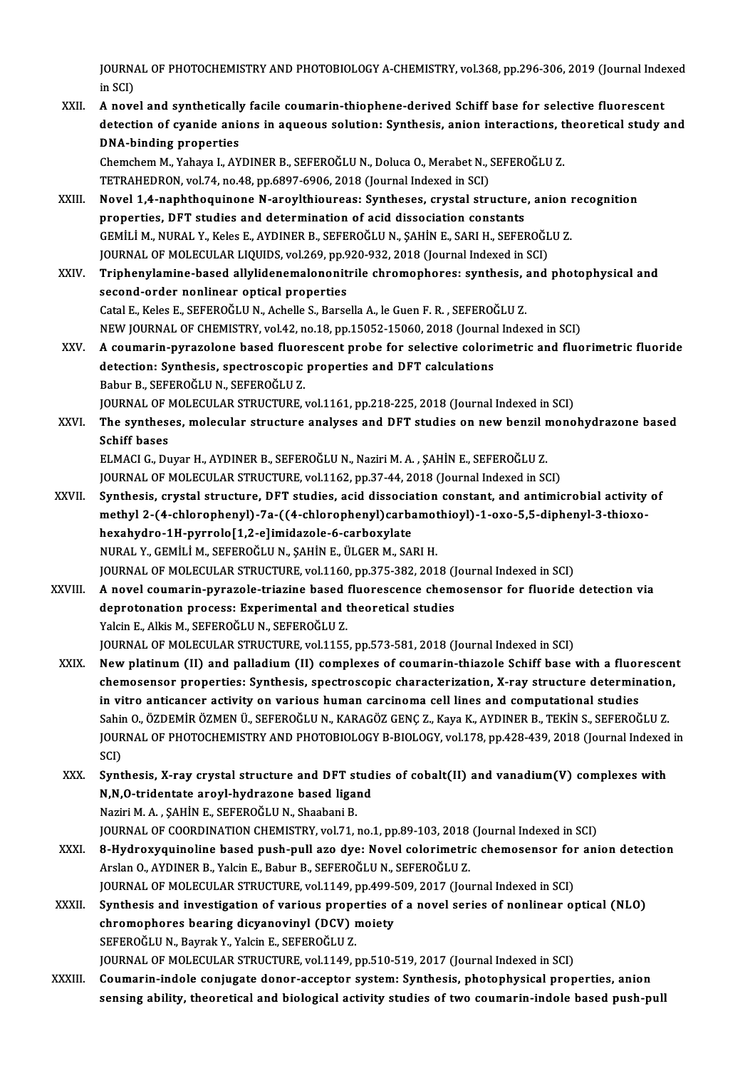JOURNAL OF PHOTOCHEMISTRY AND PHOTOBIOLOGY A-CHEMISTRY, vol.368, pp.296-306, 2019 (Journal Indexed<br>in SCD **j**OURN<sub>4</sub><br>in SCI)<br>A nove JOURNAL OF PHOTOCHEMISTRY AND PHOTOBIOLOGY A-CHEMISTRY, vol.368, pp.296-306, 2019 (Journal Inde<br>in SCI)<br>XXII. A novel and synthetically facile coumarin-thiophene-derived Schiff base for selective fluorescent<br>detection of s

in SCI)<br>A novel and synthetically facile coumarin-thiophene-derived Schiff base for selective fluorescent<br>detection of cyanide anions in aqueous solution: Synthesis, anion interactions, theoretical study and<br>DNA binding pr A novel and synthetically<br>detection of cyanide anie<br>DNA-binding properties<br>Chamsham M Yahaw L AY detection of cyanide anions in aqueous solution: Synthesis, anion interactions, t<br>DNA-binding properties<br>Chemchem M., Yahaya I., AYDINER B., SEFEROĞLU N., Doluca O., Merabet N., SEFEROĞLU Z.<br>TETPAHEDPON vol 74 no.48 nn.699 DNA-binding properties<br>Chemchem M., Yahaya I., AYDINER B., SEFEROĞLU N., Doluca O., Merabet N., S<br>TETRAHEDRON, vol.74, no.48, pp.6897-6906, 2018 (Journal Indexed in SCI)<br>Novel 1.4, paphthoguinene N. angylthioureas: Synthos Chemchem M., Yahaya I., AYDINER B., SEFEROĞLU N., Doluca O., Merabet N., SEFEROĞLU Z.<br>TETRAHEDRON, vol.74, no.48, pp.6897-6906, 2018 (Journal Indexed in SCI)<br>XXIII. Novel 1,4-naphthoquinone N-aroylthioureas: Syntheses, cry TETRAHEDRON, vol.74, no.48, pp.6897-6906, 2018 (Journal Indexed in SCI)<br>Novel 1,4-naphthoquinone N-aroylthioureas: Syntheses, crystal structure, anion recognition<br>properties, DFT studies and determination of acid dissociat Novel 1,4-naphthoquinone N-aroylthioureas: Syntheses, crystal structure, anion i<br>properties, DFT studies and determination of acid dissociation constants<br>GEMİLİ M., NURAL Y., Keles E., AYDINER B., SEFEROĞLU N., ŞAHİN E., S properties, DFT studies and determination of acid dissociation constants<br>GEMİLİ M., NURAL Y., Keles E., AYDINER B., SEFEROĞLU N., ŞAHİN E., SARI H., SEFEROĞL<br>JOURNAL OF MOLECULAR LIQUIDS, vol.269, pp.920-932, 2018 (Journal

XXIV. Triphenylamine-based allylidenemalononitrile chromophores: synthesis, and photophysical and<br>second-order nonlinear optical properties JOURNAL OF MOLECULAR LIQUIDS, vol.269, pp.920-932, 2018 (Journal Indexed in SCI) Catal E., Keles E., SEFEROĞLU N., Achelle S., Barsella A., le Guen F. R., SEFEROĞLU Z. second-order nonlinear optical properties<br>Catal E., Keles E., SEFEROĞLU N., Achelle S., Barsella A., le Guen F. R. , SEFEROĞLU Z.<br>NEW JOURNAL OF CHEMISTRY, vol.42, no.18, pp.15052-15060, 2018 (Journal Indexed in SCI)<br>A seu Catal E., Keles E., SEFEROĞLU N., Achelle S., Barsella A., le Guen F. R. , SEFEROĞLU Z.<br>NEW JOURNAL OF CHEMISTRY, vol.42, no.18, pp.15052-15060, 2018 (Journal Indexed in SCI)<br>XXV. A coumarin-pyrazolone based fluorescent pr

NEW JOURNAL OF CHEMISTRY, vol.42, no.18, pp.15052-15060, 2018 (Journa<br>A coumarin-pyrazolone based fluorescent probe for selective colori<br>detection: Synthesis, spectroscopic properties and DFT calculations<br>Behur B. SEEEBOČL A coumarin-pyrazolone based fluor<br>detection: Synthesis, spectroscopic<br>Babur B., SEFEROĞLU N., SEFEROĞLU Z.<br>JOUPNAL OF MOLECULAR STRUCTURE detection: Synthesis, spectroscopic properties and DFT calculations<br>Babur B., SEFEROĞLU N., SEFEROĞLU Z.<br>JOURNAL OF MOLECULAR STRUCTURE, vol.1161, pp.218-225, 2018 (Journal Indexed in SCI) Babur B., SEFEROĞLU N., SEFEROĞLU Z.<br>JOURNAL OF MOLECULAR STRUCTURE, vol.1161, pp.218-225, 2018 (Journal Indexed in SCI)<br>XXVI. The syntheses, molecular structure analyses and DFT studies on new benzil monohydrazone bas

**JOURNAL OF I**<br>The synthes<br>Schiff bases<br>ELMACLC Dr The syntheses, molecular structure analyses and DFT studies on new benzil r<br>Schiff bases<br>ELMACI G., Duyar H., AYDINER B., SEFEROĞLU N., Naziri M. A. , ŞAHİN E., SEFEROĞLU Z.<br>JOUPMAL OF MOLECULAR STRUCTURE vel 1162 np.37 44 Schiff bases<br>ELMACI G., Duyar H., AYDINER B., SEFEROĞLU N., Naziri M. A. , ŞAHİN E., SEFEROĞLU Z.<br>JOURNAL OF MOLECULAR STRUCTURE, vol.1162, pp.37-44, 2018 (Journal Indexed in SCI)

- ELMACI G., Duyar H., AYDINER B., SEFEROĞLU N., Naziri M. A. , ŞAHİN E., SEFEROĞLU Z.<br>JOURNAL OF MOLECULAR STRUCTURE, vol.1162, pp.37-44, 2018 (Journal Indexed in SCI)<br>XXVII. Synthesis, crystal structure, DFT studies, acid JOURNAL OF MOLECULAR STRUCTURE, vol.1162, pp.37-44, 2018 (Journal Indexed in SCI)<br>Synthesis, crystal structure, DFT studies, acid dissociation constant, and antimicrobial activity<br>methyl 2-(4-chlorophenyl)-7a-((4-chlorophe Synthesis, crystal structure, DFT studies, acid dissocia<br>methyl 2-(4-chlorophenyl)-7a-((4-chlorophenyl)carba<br>hexahydro-1H-pyrrolo[1,2-e]imidazole-6-carboxylate<br>NURAL Y CEMULLA SEEEPOČLUN SAHINE JUCER M SA methyl 2-(4-chlorophenyl)-7a-((4-chlorophenyl)carbamothioyl)-1-oxo-5,5-diphenyl-3-thioxo-<br>hexahydro-1H-pyrrolo[1,2-e]imidazole-6-carboxylate<br>NURAL Y., GEMİLİ M., SEFEROĞLU N., SAHİN E., ÜLGER M., SARI H. JOURNAL OF MOLECULAR STRUCTURE, vol.1160, pp.375-382, 2018 (Journal Indexed in SCI) NURAL Y., GEMİLİ M., SEFEROĞLU N., ŞAHİN E., ÜLGER M., SARI H.<br>JOURNAL OF MOLECULAR STRUCTURE, vol.1160, pp.375-382, 2018 (Journal Indexed in SCI)<br>XXVIII. A novel coumarin-pyrazole-triazine based fluorescence chemosens
- JOURNAL OF MOLECULAR STRUCTURE, vol.1160, pp.375-382, 2018 (J<br>A novel coumarin-pyrazole-triazine based fluorescence chem<br>deprotonation process: Experimental and theoretical studies<br>Vakin E. Alkia M. SEEEROČLU N. SEEEROČLU A novel coumarin-pyrazole-triazine based :<br>deprotonation process: Experimental and t<br>Yalcin E., Alkis M., SEFEROĞLU N., SEFEROĞLU Z.<br>JOUPMAL OF MOLECULAR STRUCTURE xel 1155 deprotonation process: Experimental and theoretical studies<br>1990: Yalcin E., Alkis M., SEFEROĞLU N., SEFEROĞLU Z.<br>JOURNAL OF MOLECULAR STRUCTURE, vol.1155, pp.573-581, 2018 (Journal Indexed in SCI)
- Yalcin E., Alkis M., SEFEROĞLU N., SEFEROĞLU Z.<br>JOURNAL OF MOLECULAR STRUCTURE, vol.1155, pp.573-581, 2018 (Journal Indexed in SCI)<br>XXIX. New platinum (II) and palladium (II) complexes of coumarin-thiazole Schiff base with JOURNAL OF MOLECULAR STRUCTURE, vol.1155, pp.573-581, 2018 (Journal Indexed in SCI)<br>New platinum (II) and palladium (II) complexes of coumarin-thiazole Schiff base with a fluorescen<br>chemosensor properties: Synthesis, spect New platinum (II) and palladium (II) complexes of coumarin-thiazole Schiff base with a fluor<br>chemosensor properties: Synthesis, spectroscopic characterization, X-ray structure determin<br>in vitro anticancer activity on vario chemosensor properties: Synthesis, spectroscopic characterization, X-ray structure determination,<br>in vitro anticancer activity on various human carcinoma cell lines and computational studies<br>Sahin O., ÖZDEMİR ÖZMEN Ü., SEF in vitro anticancer activity on various human carcinoma cell lines and computational studies<br>Sahin O., ÖZDEMİR ÖZMEN Ü., SEFEROĞLU N., KARAGÖZ GENÇ Z., Kaya K., AYDINER B., TEKİN S., SEFEROĞLU Z.<br>JOURNAL OF PHOTOCHEMISTRY Sahii<br>JOUR<br>SCI)<br>Sunt JOURNAL OF PHOTOCHEMISTRY AND PHOTOBIOLOGY B-BIOLOGY, vol.178, pp.428-439, 2018 (Journal Indexed<br>SCI)<br>XXX. Synthesis, X-ray crystal structure and DFT studies of cobalt(II) and vanadium(V) complexes with<br>N N O tridentate ar

SCI)<br>XXX. Synthesis, X-ray crystal structure and DFT studies of cobalt(II) and vanadium(V) complexes with<br>N,N,O-tridentate aroyl-hydrazone based ligand Naziri M.A., ŞAHİN E., SEFEROĞLUN., Shaabani B. N,N,O-tridentate aroyl-hydrazone based ligand<br>Naziri M. A. , ŞAHİN E., SEFEROĞLU N., Shaabani B.<br>JOURNAL OF COORDINATION CHEMISTRY, vol.71, no.1, pp.89-103, 2018 (Journal Indexed in SCI)<br>8. Hydroxyayinoline based nuch null Naziri M. A. , ŞAHİN E., SEFEROĞLU N., Shaabani B.<br>JOURNAL OF COORDINATION CHEMISTRY, vol.71, no.1, pp.89-103, 2018 (Journal Indexed in SCI)<br>XXXI. 8-Hydroxyquinoline based push-pull azo dye: Novel colorimetric chemosensor

- JOURNAL OF COORDINATION CHEMISTRY, vol.71, no.1, pp.89-103, 2018<br>**8-Hydroxyquinoline based push-pull azo dye: Novel colorimetri**<br>Arslan O., AYDINER B., Yalcin E., Babur B., SEFEROĞLU N., SEFEROĞLU Z.<br>JOURNAL OE MOLECULAR S 8-Hydroxyquinoline based push-pull azo dye: Novel colorimetric chemosensor for<br>Arslan O., AYDINER B., Yalcin E., Babur B., SEFEROĞLU N., SEFEROĞLU Z.<br>JOURNAL OF MOLECULAR STRUCTURE, vol.1149, pp.499-509, 2017 (Journal Inde Arslan O., AYDINER B., Yalcin E., Babur B., SEFEROĞLU N., SEFEROĞLU Z.<br>JOURNAL OF MOLECULAR STRUCTURE, vol.1149, pp.499-509, 2017 (Journal Indexed in SCI)<br>XXXII. Synthesis and investigation of various properties of a n
- JOURNAL OF MOLECULAR STRUCTURE, vol.1149, pp.499-9<br>Synthesis and investigation of various properties of<br>chromophores bearing dicyanovinyl (DCV) moiety<br>SEEEDOČLUN Payral: V. Volsin E. SEEEDOČLU 7 Synthesis and investigation of various prope<br>chromophores bearing dicyanovinyl (DCV) i<br>SEFEROĞLU N., Bayrak Y., Yalcin E., SEFEROĞLU Z.<br>JOUPNAL OF MOLECULAR STRUCTURE vel 1140 : SEFEROĞLU N., Bayrak Y., Yalcin E., SEFEROĞLU Z.<br>JOURNAL OF MOLECULAR STRUCTURE, vol.1149, pp.510-519, 2017 (Journal Indexed in SCI)
- XXXIII. Coumarin-indole conjugate donor-acceptor system: Synthesis, photophysical properties, anion sensing ability, theoretical and biological activity studies of two coumarin-indole based push-pul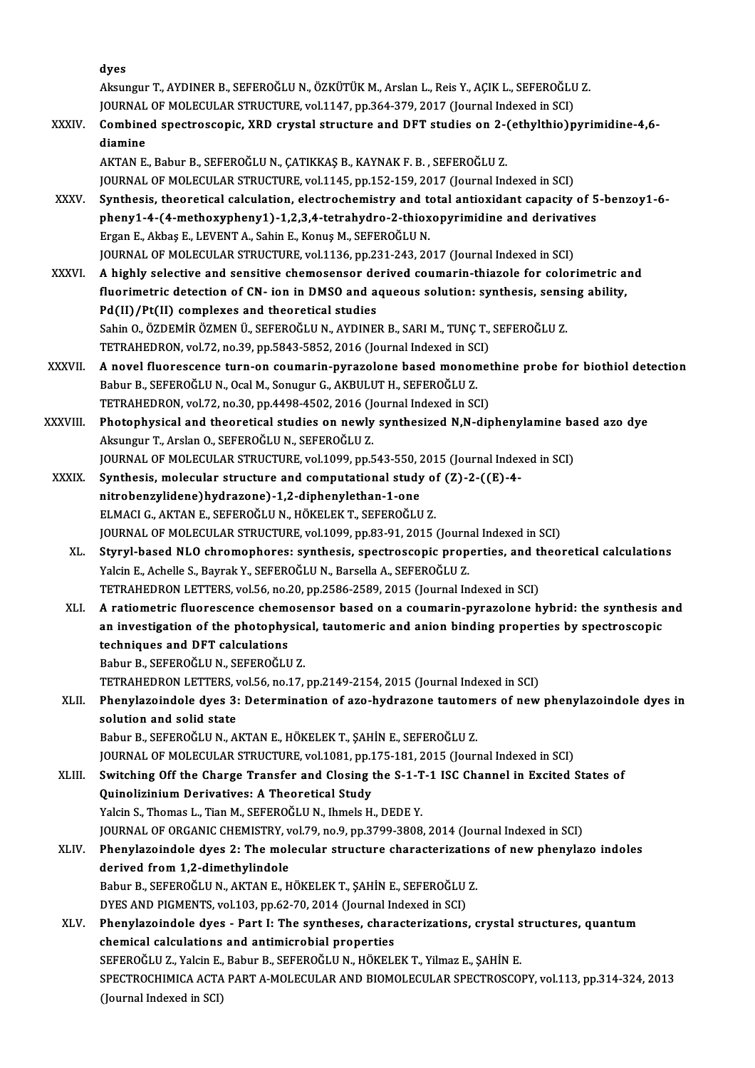|              | dyes                                                                                                                                                                              |
|--------------|-----------------------------------------------------------------------------------------------------------------------------------------------------------------------------------|
|              | Aksungur T., AYDINER B., SEFEROĞLU N., ÖZKÜTÜK M., Arslan L., Reis Y., AÇIK L., SEFEROĞLU Z.                                                                                      |
|              | JOURNAL OF MOLECULAR STRUCTURE, vol.1147, pp.364-379, 2017 (Journal Indexed in SCI)                                                                                               |
| <b>XXXIV</b> | Combined spectroscopic, XRD crystal structure and DFT studies on 2-(ethylthio)pyrimidine-4,6-<br>diamine                                                                          |
|              | AKTAN E., Babur B., SEFEROĞLU N., ÇATIKKAŞ B., KAYNAK F. B., SEFEROĞLU Z.                                                                                                         |
|              | JOURNAL OF MOLECULAR STRUCTURE, vol.1145, pp.152-159, 2017 (Journal Indexed in SCI)                                                                                               |
| XXXV.        | Synthesis, theoretical calculation, electrochemistry and total antioxidant capacity of 5-benzoy1-6-                                                                               |
|              | pheny1-4-(4-methoxypheny1)-1,2,3,4-tetrahydro-2-thioxopyrimidine and derivatives                                                                                                  |
|              | Ergan E., Akbaş E., LEVENT A., Sahin E., Konuş M., SEFEROĞLU N.                                                                                                                   |
|              | JOURNAL OF MOLECULAR STRUCTURE, vol.1136, pp.231-243, 2017 (Journal Indexed in SCI)                                                                                               |
| <b>XXXVI</b> | A highly selective and sensitive chemosensor derived coumarin-thiazole for colorimetric and                                                                                       |
|              | fluorimetric detection of CN- ion in DMSO and aqueous solution: synthesis, sensing ability,                                                                                       |
|              | Pd(II)/Pt(II) complexes and theoretical studies                                                                                                                                   |
|              | Sahin O., ÖZDEMİR ÖZMEN Ü., SEFEROĞLU N., AYDINER B., SARI M., TUNÇ T., SEFEROĞLU Z.                                                                                              |
|              | TETRAHEDRON, vol.72, no.39, pp.5843-5852, 2016 (Journal Indexed in SCI)                                                                                                           |
| XXXVII.      | A novel fluorescence turn-on coumarin-pyrazolone based monomethine probe for biothiol detection                                                                                   |
|              | Babur B., SEFEROĞLU N., Ocal M., Sonugur G., AKBULUT H., SEFEROĞLU Z.                                                                                                             |
|              | TETRAHEDRON, vol.72, no.30, pp.4498-4502, 2016 (Journal Indexed in SCI)                                                                                                           |
| XXXVIII.     | Photophysical and theoretical studies on newly synthesized N,N-diphenylamine based azo dye                                                                                        |
|              | Aksungur T., Arslan O., SEFEROĞLU N., SEFEROĞLU Z.                                                                                                                                |
|              | JOURNAL OF MOLECULAR STRUCTURE, vol.1099, pp.543-550, 2015 (Journal Indexed in SCI)                                                                                               |
| <b>XXXIX</b> | Synthesis, molecular structure and computational study of (Z)-2-((E)-4-                                                                                                           |
|              | nitrobenzylidene) hydrazone)-1,2-diphenylethan-1-one                                                                                                                              |
|              | ELMACI G., AKTAN E., SEFEROĞLU N., HÖKELEK T., SEFEROĞLU Z.                                                                                                                       |
|              | JOURNAL OF MOLECULAR STRUCTURE, vol.1099, pp.83-91, 2015 (Journal Indexed in SCI)                                                                                                 |
| XL.          | Styryl-based NLO chromophores: synthesis, spectroscopic properties, and theoretical calculations<br>Yalcin E., Achelle S., Bayrak Y., SEFEROĞLU N., Barsella A., SEFEROĞLU Z.     |
|              | TETRAHEDRON LETTERS, vol.56, no.20, pp.2586-2589, 2015 (Journal Indexed in SCI)                                                                                                   |
| XLI.         | A ratiometric fluorescence chemosensor based on a coumarin-pyrazolone hybrid: the synthesis and                                                                                   |
|              | an investigation of the photophysical, tautomeric and anion binding properties by spectroscopic                                                                                   |
|              | techniques and DFT calculations                                                                                                                                                   |
|              | Babur B., SEFEROĞLU N., SEFEROĞLU Z.                                                                                                                                              |
|              | TETRAHEDRON LETTERS, vol.56, no.17, pp.2149-2154, 2015 (Journal Indexed in SCI)                                                                                                   |
| XLII.        | Phenylazoindole dyes 3: Determination of azo-hydrazone tautomers of new phenylazoindole dyes in                                                                                   |
|              | solution and solid state                                                                                                                                                          |
|              | Babur B., SEFEROĞLU N., AKTAN E., HÖKELEK T., ŞAHİN E., SEFEROĞLU Z.                                                                                                              |
|              | JOURNAL OF MOLECULAR STRUCTURE, vol.1081, pp.175-181, 2015 (Journal Indexed in SCI)                                                                                               |
| XLIII.       | Switching Off the Charge Transfer and Closing the S-1-T-1 ISC Channel in Excited States of                                                                                        |
|              | Quinolizinium Derivatives: A Theoretical Study                                                                                                                                    |
|              | Yalcin S., Thomas L., Tian M., SEFEROGLU N., Ihmels H., DEDE Y.                                                                                                                   |
|              | JOURNAL OF ORGANIC CHEMISTRY, vol.79, no.9, pp.3799-3808, 2014 (Journal Indexed in SCI)                                                                                           |
| XLIV.        | Phenylazoindole dyes 2: The molecular structure characterizations of new phenylazo indoles                                                                                        |
|              | derived from 1,2-dimethylindole                                                                                                                                                   |
|              | Babur B., SEFEROĞLU N., AKTAN E., HÖKELEK T., ŞAHİN E., SEFEROĞLU Z.                                                                                                              |
|              | DYES AND PIGMENTS, vol.103, pp.62-70, 2014 (Journal Indexed in SCI)                                                                                                               |
| XLV.         | Phenylazoindole dyes - Part I: The syntheses, characterizations, crystal structures, quantum                                                                                      |
|              | chemical calculations and antimicrobial properties                                                                                                                                |
|              | SEFEROĞLU Z., Yalcin E., Babur B., SEFEROĞLU N., HÖKELEK T., Yilmaz E., ŞAHİN E.<br>SPECTROCHIMICA ACTA PART A-MOLECULAR AND BIOMOLECULAR SPECTROSCOPY, vol.113, pp.314-324, 2013 |
|              | (Journal Indexed in SCI)                                                                                                                                                          |
|              |                                                                                                                                                                                   |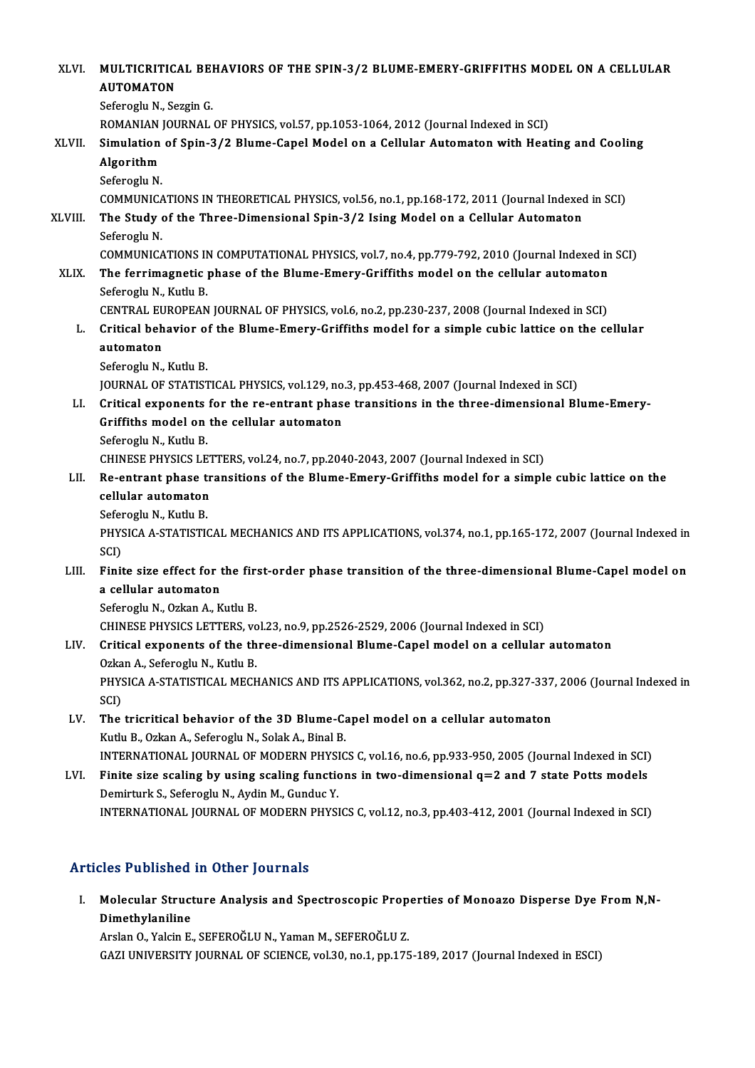XLVI. MULTICRITICAL BEHAVIORS OF THE SPIN-3/2 BLUME-EMERY-GRIFFITHS MODEL ON A CELLULAR<br>AUTOMATON MULTICRITIC<br>AUTOMATON<br>Seferegly N. Se MULTICRITICAL BE<mark>I</mark><br>AUTOMATON<br>Seferoglu N., Sezgin G.<br>ROMANIAN IOURNAL AUTOMATON<br>Seferoglu N., Sezgin G.<br>ROMANIAN JOURNAL OF PHYSICS, vol.57, pp.1053-1064, 2012 (Journal Indexed in SCI) Seferoglu N., Sezgin G.<br>ROMANIAN JOURNAL OF PHYSICS, vol.57, pp.1053-1064, 2012 (Journal Indexed in SCI)<br>XLVII. Simulation of Spin-3/2 Blume-Capel Model on a Cellular Automaton with Heating and Cooling<br>Algorithm ROMANIAN<br>Simulation<br>Algorithm<br>Seferesh N Si<mark>mulation</mark><br>Algorithm<br>Seferoglu N.<br>COMMUNICA Algorithm<br>Seferoglu N.<br>COMMUNICATIONS IN THEORETICAL PHYSICS, vol.56, no.1, pp.168-172, 2011 (Journal Indexed in SCI) Seferoglu N.<br>COMMUNICATIONS IN THEORETICAL PHYSICS, vol.56, no.1, pp.168-172, 2011 (Journal Indexed<br>XLVIII. The Study of the Three-Dimensional Spin-3/2 Ising Model on a Cellular Automaton<br>Seferogly N COMMUNICA<br>The Study<br>Seferoglu N.<br>COMMUNICA The Study of the Three-Dimensional Spin-3/2 Ising Model on a Cellular Automaton<br>Seferoglu N.<br>COMMUNICATIONS IN COMPUTATIONAL PHYSICS, vol.7, no.4, pp.779-792, 2010 (Journal Indexed in SCI)<br>The fornimegnatic phase of the Bl Seferoglu N.<br>COMMUNICATIONS IN COMPUTATIONAL PHYSICS, vol.7, no.4, pp.779-792, 2010 (Journal Indexed in<br>XLIX. The ferrimagnetic phase of the Blume-Emery-Griffiths model on the cellular automaton<br>Seferedu N. Kutly B COMMUNICATIONS IN<br>The ferrimagnetic<br>Seferoglu N., Kutlu B.<br>CENTRAL EUROPEAN The ferrimagnetic phase of the Blume-Emery-Griffiths model on the cellular automaton<br>Seferoglu N., Kutlu B.<br>CENTRAL EUROPEAN JOURNAL OF PHYSICS, vol.6, no.2, pp.230-237, 2008 (Journal Indexed in SCI)<br>Critical behavior of t Seferoglu N., Kutlu B.<br>CENTRAL EUROPEAN JOURNAL OF PHYSICS, vol.6, no.2, pp.230-237, 2008 (Journal Indexed in SCI)<br>L. Critical behavior of the Blume-Emery-Griffiths model for a simple cubic lattice on the cellular<br>automato CENTRAL EU<br>Critical beh<br>automaton<br>Seferesh: N Critical behavior of<br>automaton<br>Seferoglu N., Kutlu B.<br>JOUPMAL OF STATIST automaton<br>Seferoglu N., Kutlu B.<br>JOURNAL OF STATISTICAL PHYSICS, vol.129, no.3, pp.453-468, 2007 (Journal Indexed in SCI)<br>Critical expensats for the re-entrant phase transitions in the three-dimensional Pl Seferoglu N., Kutlu B.<br>JOURNAL OF STATISTICAL PHYSICS, vol.129, no.3, pp.453-468, 2007 (Journal Indexed in SCI)<br>LI. Critical exponents for the re-entrant phase transitions in the three-dimensional Blume-Emery-JOURNAL OF STATISTICAL PHYSICS, vol.129, no.<br>Critical exponents for the re-entrant phase<br>Griffiths model on the cellular automaton Critical exponents<br>Griffiths model on<br>Seferoglu N., Kutlu B.<br>CHINESE PHYSICS LE Griffiths model on the cellular automaton<br>Seferoglu N., Kutlu B.<br>CHINESE PHYSICS LETTERS, vol.24, no.7, pp.2040-2043, 2007 (Journal Indexed in SCI) Seferoglu N., Kutlu B.<br>CHINESE PHYSICS LETTERS, vol.24, no.7, pp.2040-2043, 2007 (Journal Indexed in SCI)<br>LII. Re-entrant phase transitions of the Blume-Emery-Griffiths model for a simple cubic lattice on the<br>collular CHINESE PHYSICS LET<br>Re-entrant phase treellular automaton<br>Seferecul N. Kuth P Re-entrant phase t<br>cellular automaton<br>Seferoglu N., Kutlu B.<br>puysic A.A. STATISTIC cellular automaton<br>Seferoglu N., Kutlu B.<br>PHYSICA A-STATISTICAL MECHANICS AND ITS APPLICATIONS, vol.374, no.1, pp.165-172, 2007 (Journal Indexed in<br>SCD Sefer<br>PHYS<br>SCI)<br>Einit PHYSICA A-STATISTICAL MECHANICS AND ITS APPLICATIONS, vol.374, no.1, pp.165-172, 2007 (Journal Indexed in SCI)<br>LIII. Finite size effect for the first-order phase transition of the three-dimensional Blume-Capel model on<br>2.2 SCI)<br>Finite size effect for t<br>a cellular automaton<br>Seferesul N. Orkan A. K Finite size effect for the fir:<br>a cellular automaton<br>Seferoglu N., Ozkan A., Kutlu B.<br>CHINESE DHYSICS LETTERS YO a cellular automaton<br>Seferoglu N., Ozkan A., Kutlu B.<br>CHINESE PHYSICS LETTERS, vol.23, no.9, pp.2526-2529, 2006 (Journal Indexed in SCI) Seferoglu N., Ozkan A., Kutlu B.<br>CHINESE PHYSICS LETTERS, vol.23, no.9, pp.2526-2529, 2006 (Journal Indexed in SCI)<br>LIV. Critical exponents of the three-dimensional Blume-Capel model on a cellular automaton<br>Orkan A. Sefero CHINESE PHYSICS LETTERS, vo<br>Critical exponents of the th<br>Ozkan A., Seferoglu N., Kutlu B.<br>PHYSICA A STATISTICAL MECH Critical exponents of the three-dimensional Blume-Capel model on a cellular automaton<br>Ozkan A., Seferoglu N., Kutlu B.<br>PHYSICA A-STATISTICAL MECHANICS AND ITS APPLICATIONS, vol.362, no.2, pp.327-337, 2006 (Journal Indexed Ozka<br>PHYS<br>SCI)<br>The PHYSICA A-STATISTICAL MECHANICS AND ITS APPLICATIONS, vol.362, no.2, pp.327-337<br>SCI)<br>LV. The tricritical behavior of the 3D Blume-Capel model on a cellular automaton<br>Kuth B. Orkan A. Seferegh: N. Solok A. Binel B. SCI)<br>LV. The tricritical behavior of the 3D Blume-Capel model on a cellular automaton<br>Kutlu B., Ozkan A., Seferoglu N., Solak A., Binal B. The tricritical behavior of the 3D Blume-Capel model on a cellular automaton<br>Kutlu B., Ozkan A., Seferoglu N., Solak A., Binal B.<br>INTERNATIONAL JOURNAL OF MODERN PHYSICS C, vol.16, no.6, pp.933-950, 2005 (Journal Indexed i Kutlu B., Ozkan A., Seferoglu N., Solak A., Binal B.<br>INTERNATIONAL JOURNAL OF MODERN PHYSICS C, vol.16, no.6, pp.933-950, 2005 (Journal Indexed in SCI)<br>LVI. Finite size scaling by using scaling functions in two-dimensional INTERNATIONAL JOURNAL OF MODERN PHYSI<br>Finite size scaling by using scaling function<br>Demirturk S., Seferoglu N., Aydin M., Gunduc Y.<br>INTERNATIONAL JOURNAL OF MODERN BUYSI LVI. Finite size scaling by using scaling functions in two-dimensional q=2 and 7 state Potts models<br>Demirturk S., Seferoglu N., Aydin M., Gunduc Y.<br>INTERNATIONAL JOURNAL OF MODERN PHYSICS C, vol.12, no.3, pp.403-412, 2001

# Articles Published in Other Journals

rticles Published in Other Journals<br>I. Molecular Structure Analysis and Spectroscopic Properties of Monoazo Disperse Dye From N,N-<br>Dimethylaniline Molecular Struct<br>Dimethylaniline<br>Arelan O. Valein E Dimethylaniline<br>Arslan O., Yalcin E., SEFEROĞLU N., Yaman M., SEFEROĞLU Z.

GAZI UNIVERSITY JOURNAL OF SCIENCE, vol.30, no.1, pp.175-189, 2017 (Journal Indexed in ESCI)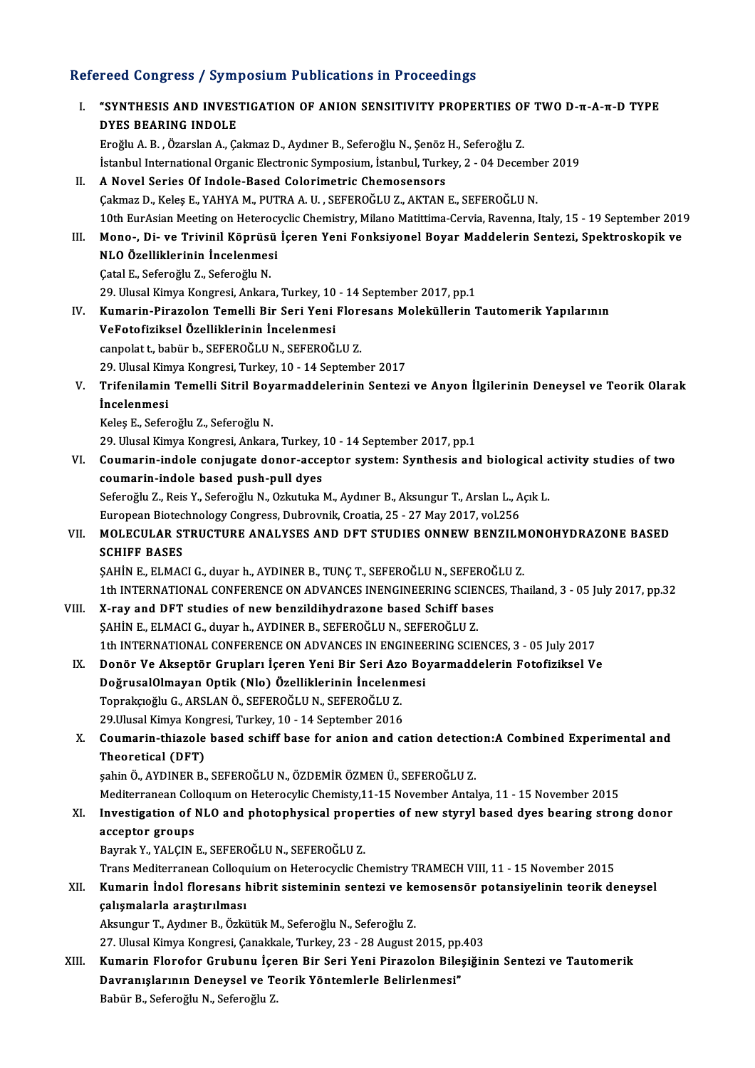# Refereed Congress / Symposium Publications in Proceedings<br>Refereed Congress / Symposium Publications in Proceedings

| Refereed Congress / Symposium Publications in Proceedings |                                                                                                                                    |
|-----------------------------------------------------------|------------------------------------------------------------------------------------------------------------------------------------|
| Ι.                                                        | "SYNTHESIS AND INVESTIGATION OF ANION SENSITIVITY PROPERTIES OF TWO D-T-A-T-D TYPE<br><b>DYES BEARING INDOLE</b>                   |
|                                                           | Eroğlu A. B., Özarslan A., Çakmaz D., Aydıner B., Seferoğlu N., Şenöz H., Seferoğlu Z.                                             |
|                                                           | İstanbul International Organic Electronic Symposium, İstanbul, Turkey, 2 - 04 December 2019                                        |
| Н.                                                        | A Novel Series Of Indole-Based Colorimetric Chemosensors                                                                           |
|                                                           | Çakmaz D., Keleş E., YAHYA M., PUTRA A. U., SEFEROĞLU Z., AKTAN E., SEFEROĞLU N.                                                   |
|                                                           | 10th EurAsian Meeting on Heterocyclic Chemistry, Milano Matittima-Cervia, Ravenna, Italy, 15 - 19 September 2019                   |
| Ш.                                                        | Mono-, Di- ve Trivinil Köprüsü İçeren Yeni Fonksiyonel Boyar Maddelerin Sentezi, Spektroskopik ve                                  |
|                                                           | NLO Özelliklerinin İncelenmesi                                                                                                     |
|                                                           | Çatal E., Seferoğlu Z., Seferoğlu N.                                                                                               |
|                                                           | 29. Ulusal Kimya Kongresi, Ankara, Turkey, 10 - 14 September 2017, pp.1                                                            |
| IV.                                                       | Kumarin-Pirazolon Temelli Bir Seri Yeni Floresans Moleküllerin Tautomerik Yapılarının<br>VeFotofiziksel Özelliklerinin İncelenmesi |
|                                                           | canpolat t, babür b., SEFEROĞLU N., SEFEROĞLU Z.                                                                                   |
|                                                           | 29. Ulusal Kimya Kongresi, Turkey, 10 - 14 September 2017                                                                          |
| V.                                                        | Trifenilamin Temelli Sitril Boyarmaddelerinin Sentezi ve Anyon İlgilerinin Deneysel ve Teorik Olarak                               |
|                                                           | <i>incelenmesi</i>                                                                                                                 |
|                                                           | Keleş E., Seferoğlu Z., Seferoğlu N.                                                                                               |
|                                                           | 29. Ulusal Kimya Kongresi, Ankara, Turkey, 10 - 14 September 2017, pp.1                                                            |
| VI.                                                       | Coumarin-indole conjugate donor-acceptor system: Synthesis and biological activity studies of two                                  |
|                                                           | coumarin-indole based push-pull dyes                                                                                               |
|                                                           | Seferoğlu Z., Reis Y., Seferoğlu N., Ozkutuka M., Aydıner B., Aksungur T., Arslan L., Açık L.                                      |
|                                                           | European Biotechnology Congress, Dubrovnik, Croatia, 25 - 27 May 2017, vol.256                                                     |
| VII.                                                      | MOLECULAR STRUCTURE ANALYSES AND DFT STUDIES ONNEW BENZILMONOHYDRAZONE BASED                                                       |
|                                                           | <b>SCHIFF BASES</b>                                                                                                                |
|                                                           | ŞAHİN E., ELMACI G., duyar h., AYDINER B., TUNÇ T., SEFEROĞLU N., SEFEROĞLU Z.                                                     |
|                                                           | 1th INTERNATIONAL CONFERENCE ON ADVANCES INENGINEERING SCIENCES, Thailand, 3 - 05 July 2017, pp.32                                 |
| VIII.                                                     | X-ray and DFT studies of new benzildihydrazone based Schiff bases                                                                  |
|                                                           | ŞAHİN E., ELMACI G., duyar h., AYDINER B., SEFEROĞLU N., SEFEROĞLU Z.                                                              |
|                                                           | 1th INTERNATIONAL CONFERENCE ON ADVANCES IN ENGINEERING SCIENCES, 3 - 05 July 2017                                                 |
| IX.                                                       | Donör Ve Akseptör Grupları İçeren Yeni Bir Seri Azo Boyarmaddelerin Fotofiziksel Ve                                                |
|                                                           | DoğrusalOlmayan Optik (Nlo) Özelliklerinin İncelenmesi                                                                             |
|                                                           | Toprakçıoğlu G., ARSLAN Ö., SEFEROĞLU N., SEFEROĞLU Z.                                                                             |
|                                                           | 29 Ulusal Kimya Kongresi, Turkey, 10 - 14 September 2016                                                                           |
| Χ.                                                        | Coumarin-thiazole based schiff base for anion and cation detection: A Combined Experimental and                                    |
|                                                           | Theoretical (DFT)                                                                                                                  |
|                                                           | şahin Ö., AYDINER B., SEFEROĞLU N., ÖZDEMİR ÖZMEN Ü., SEFEROĞLU Z.                                                                 |
|                                                           | Mediterranean Colloquum on Heterocylic Chemisty, 11-15 November Antalya, 11 - 15 November 2015                                     |
| XI.                                                       | Investigation of NLO and photophysical properties of new styryl based dyes bearing strong donor<br>acceptor groups                 |
|                                                           | Bayrak Y., YALÇIN E., SEFEROĞLU N., SEFEROĞLU Z.                                                                                   |
|                                                           | Trans Mediterranean Colloquium on Heterocyclic Chemistry TRAMECH VIII, 11 - 15 November 2015                                       |
| XII.                                                      | Kumarin İndol floresans hibrit sisteminin sentezi ve kemosensör potansiyelinin teorik deneysel                                     |
|                                                           | çalışmalarla araştırılması                                                                                                         |
|                                                           | Aksungur T., Aydıner B., Özkütük M., Seferoğlu N., Seferoğlu Z.                                                                    |
|                                                           | 27. Ulusal Kimya Kongresi, Çanakkale, Turkey, 23 - 28 August 2015, pp.403                                                          |
| XIII.                                                     | Kumarin Florofor Grubunu İçeren Bir Seri Yeni Pirazolon Bileşiğinin Sentezi ve Tautomerik                                          |
|                                                           | Davranışlarının Deneysel ve Teorik Yöntemlerle Belirlenmesi"                                                                       |
|                                                           | Babür B., Seferoğlu N., Seferoğlu Z.                                                                                               |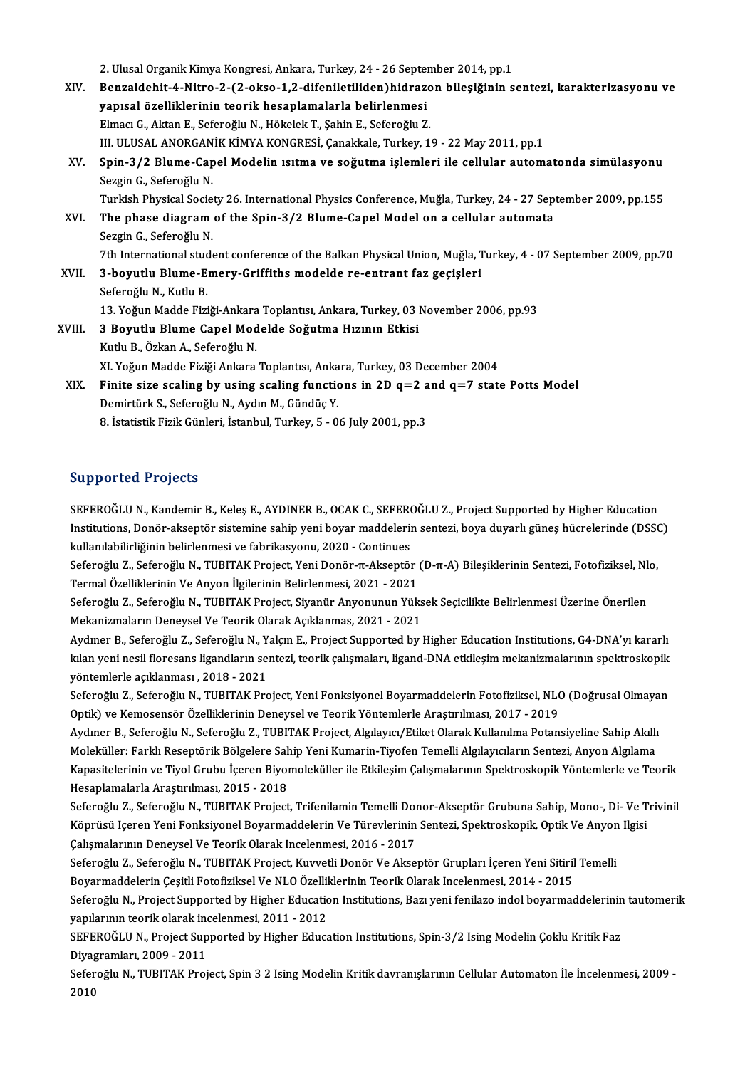2. Ulusal Organik Kimya Kongresi, Ankara, Turkey, 24 - 26 September 2014, pp.1<br>Rongaldebit 4 Nitre 2.62 ekse 1.2 difeniletiliden)bidregen bilesižinin e

XIV. Benzaldehit-4-Nitro-2-(2-okso-1,2-difeniletiliden)hidrazon bileşiğinin sentezi, karakterizasyonu ve 2. Ulusal Organik Kimya Kongresi, Ankara, Turkey, 24 - 26 Septer<br>Benzaldehit-4-Nitro-2-(2-okso-1,2-difeniletiliden)hidraze<br>yapısal özelliklerinin teorik hesaplamalarla belirlenmesi<br>Elmag G. Altan E. Sefereğlu N. Hökalek T. ElmacıG.,AktanE.,SeferoğluN.,HökelekT.,ŞahinE.,Seferoğlu Z. III. ULUSAL ANORGANİK KİMYA KONGRESİ, Çanakkale, Turkey, 19 - 22 May 2011, pp.1 Elmacı G., Aktan E., Seferoğlu N., Hökelek T., Şahin E., Seferoğlu Z.<br>III. ULUSAL ANORGANİK KİMYA KONGRESİ, Çanakkale, Turkey, 19 - 22 May 2011, pp.1<br>XV. Spin-3/2 Blume-Capel Modelin ısıtma ve soğutma işlemleri ile cel Sezgin G., Seferoğlu N.<br>Turkish Physical Society 26. International Physics Conference, Muğla, Turkey, 24 - 27 September 2009, pp.155 Spin-3/2 Blume-Capel Modelin ısıtma ve soğutma işlemleri ile cellular automatonda simülasyonu<br>Sezgin G., Seferoğlu N.<br>Turkish Physical Society 26. International Physics Conference, Muğla, Turkey, 24 - 27 September 2009, pp Sezgin G., Seferoğlu N.<br>Turkish Physical Society 26. International Physics Conference, Muğla, Turkey, 24 - 27 Sep<br>XVI. The phase diagram of the Spin-3/2 Blume-Capel Model on a cellular automata<br>Sergin G. Seferoğlu N Turkish Physical Socie<br>The phase diagram<br>Sezgin G., Seferoğlu N.<br>7th International stude The phase diagram of the Spin-3/2 Blume-Capel Model on a cellular automata<br>Sezgin G., Seferoğlu N.<br>7th International student conference of the Balkan Physical Union, Muğla, Turkey, 4 - 07 September 2009, pp.70<br>3. bevutlu B Sezgin G., Seferoğlu N.<br>7th International student conference of the Balkan Physical Union, Muğla, T<br>XVII. 3-boyutlu Blume-Emery-Griffiths modelde re-entrant faz geçişleri<br>Seferoğlu N., Kutlu B. 7th International studer<br>**3-boyutlu Blume-E**<br>Seferoğlu N., Kutlu B.<br>13. Voğun Madde Eini 3-boyutlu Blume-Emery-Griffiths modelde re-entrant faz geçişleri<br>Seferoğlu N., Kutlu B.<br>13. Yoğun Madde Fiziği-Ankara Toplantısı, Ankara, Turkey, 03 November 2006, pp.93<br>2 Boyutlu Blume Ganel Madelde Soğutme Hızının Etkişi Seferoğlu N., Kutlu B.<br>13. Yoğun Madde Fiziği-Ankara Toplantısı, Ankara, Turkey, 03 |<br>XVIII. 3 Boyutlu Blume Capel Modelde Soğutma Hızının Etkisi 13. Yoğun Madde Fiziği-Ankara<br>**3 Boyutlu Blume Capel Mod<br>Kutlu B., Özkan A., Seferoğlu N.**<br>YI Voğun Madde Fiziği Ankara 3 Boyutlu Blume Capel Modelde Soğutma Hızının Etkisi<br>Kutlu B., Özkan A., Seferoğlu N.<br>XI. Yoğun Madde Fiziği Ankara Toplantısı, Ankara, Turkey, 03 December 2004 XIX. Finite size scaling by using scaling functions in 2D  $q=2$  and  $q=7$  state Potts Model Demirtürk S., Seferoğlu N., Aydın M., Gündüç Y. 8. İstatistik Fizik Günleri, İstanbul, Turkey, 5 - 06 July 2001, pp.3

# Supported Projects

Supported Projects<br>SEFEROĞLU N., Kandemir B., Keleş E., AYDINER B., OCAK C., SEFEROĞLU Z., Project Supported by Higher Education<br>Institutions, Donër aksontër sistemine sahin vani boyar maddelerin senteri, boya duyarlı güne Bupp of ted 'n rejects<br>SEFEROĞLU N., Kandemir B., Keleş E., AYDINER B., OCAK C., SEFEROĞLU Z., Project Supported by Higher Education<br>Institutions, Donör-akseptör sistemine sahip yeni boyar maddelerin sentezi, boya duyarlı SEFEROĞLU N., Kandemir B., Keleş E., AYDINER B., OCAK C., SEFERO<br>Institutions, Donör-akseptör sistemine sahip yeni boyar maddeleri<br>kullanılabilirliğinin belirlenmesi ve fabrikasyonu, 2020 - Continues<br>Sefereğlu Z., Sefereğl Institutions, Donör-akseptör sistemine sahip yeni boyar maddelerin sentezi, boya duyarlı güneş hücrelerinde (DSSC)<br>kullanılabilirliğinin belirlenmesi ve fabrikasyonu, 2020 - Continues<br>Seferoğlu Z., Seferoğlu N., TUBITAK P

Termal Özelliklerinin Ve Anyon İlgilerinin Belirlenmesi, 2021 - 2021 Seferoğlu Z., Seferoğlu N., TUBITAK Project, Yeni Donör-π-Akseptör (D-π-A) Bileşiklerinin Sentezi, Fotofiziksel, Nl<br>Termal Özelliklerinin Ve Anyon İlgilerinin Belirlenmesi, 2021 - 2021<br>Seferoğlu Z., Seferoğlu N., TUBITAK

Termal Özelliklerinin Ve Anyon İlgilerinin Belirlenmesi, 2021 - 2021<br>Seferoğlu Z., Seferoğlu N., TUBITAK Project, Siyanür Anyonunun Yüks<br>Mekanizmaların Deneysel Ve Teorik Olarak Açıklanmas, 2021 - 2021<br>Avdunar B. Seferoğlu Seferoğlu Z., Seferoğlu N., TUBITAK Project, Siyanür Anyonunun Yüksek Seçicilikte Belirlenmesi Üzerine Önerilen<br>Mekanizmaların Deneysel Ve Teorik Olarak Açıklanmas, 2021 - 2021<br>Aydıner B., Seferoğlu Z., Seferoğlu N., Yalçı

Mekanizmaların Deneysel Ve Teorik Olarak Açıklanmas, 2021 - 2021<br>Aydıner B., Seferoğlu Z., Seferoğlu N., Yalçın E., Project Supported by Higher Education Institutions, G4-DNA'yı kararlı<br>kılan yeni nesil floresans ligandlar Aydıner B., Seferoğlu Z., Seferoğlu N., Y<br>kılan yeni nesil floresans ligandların se:<br>yöntemlerle açıklanması , 2018 - 2021<br>Seferoğlu Z. Seferoğlu N., TURITAK Pre kılan yeni nesil floresans ligandların sentezi, teorik çalışmaları, ligand-DNA etkileşim mekanizmalarının spektroskopik<br>yöntemlerle açıklanması , 2018 - 2021<br>Seferoğlu Z., Seferoğlu N., TUBITAK Project, Yeni Fonksiyonel Bo

yöntemlerle açıklanması , 2018 - 2021<br>Seferoğlu Z., Seferoğlu N., TUBITAK Project, Yeni Fonksiyonel Boyarmaddelerin Fotofiziksel, NL(<br>Optik) ve Kemosensör Özelliklerinin Deneysel ve Teorik Yöntemlerle Araştırılması, 2017 -Seferoğlu Z., Seferoğlu N., TUBITAK Project, Yeni Fonksiyonel Boyarmaddelerin Fotofiziksel, NLO (Doğrusal Olmaya<br>Optik) ve Kemosensör Özelliklerinin Deneysel ve Teorik Yöntemlerle Araştırılması, 2017 - 2019<br>Aydıner B., Sef

Optik) ve Kemosensör Özelliklerinin Deneysel ve Teorik Yöntemlerle Araştırılması, 2017 - 2019<br>Aydıner B., Seferoğlu N., Seferoğlu Z., TUBITAK Project, Algılayıcı/Etiket Olarak Kullanılma Potansiyeline Sahip Akıllı<br>Moleküll Aydıner B., Seferoğlu N., Seferoğlu Z., TUBITAK Project, Algılayıcı/Etiket Olarak Kullanılma Potansiyeline Sahip Akıllı<br>Moleküller: Farklı Reseptörik Bölgelere Sahip Yeni Kumarin-Tiyofen Temelli Algılayıcıların Sentezi, An Moleküller: Farklı Reseptörik Bölgelere Sah<br>Kapasitelerinin ve Tiyol Grubu İçeren Biyol<br>Hesaplamalarla Araştırılması, 2015 - 2018<br>Sefereğlu Z. Sefereğlu N. TUBITAK Preject Kapasitelerinin ve Tiyol Grubu İçeren Biyomoleküller ile Etkileşim Çalışmalarının Spektroskopik Yöntemlerle ve Teorik<br>Hesaplamalarla Araştırılması, 2015 - 2018<br>Seferoğlu Z., Seferoğlu N., TUBITAK Project, Trifenilamin Teme

Hesaplamalarla Araştırılması, 2015 - 2018<br>Seferoğlu Z., Seferoğlu N., TUBITAK Project, Trifenilamin Temelli Donor-Akseptör Grubuna Sahip, Mono-, Di- Ve T<br>Köprüsü Içeren Yeni Fonksiyonel Boyarmaddelerin Ve Türevlerinin Sent Seferoğlu Z., Seferoğlu N., TUBITAK Project, Trifenilamin Temelli Dor<br>Köprüsü Içeren Yeni Fonksiyonel Boyarmaddelerin Ve Türevlerinin<br>Çalışmalarının Deneysel Ve Teorik Olarak Incelenmesi, 2016 - 2017<br>Seferoğlu Z. Seferoğlu Köprüsü Içeren Yeni Fonksiyonel Boyarmaddelerin Ve Türevlerinin Sentezi, Spektroskopik, Optik Ve Anyon Ilgisi<br>Çalışmalarının Deneysel Ve Teorik Olarak Incelenmesi, 2016 - 2017<br>Seferoğlu Z., Seferoğlu N., TUBITAK Project, K

Çalışmalarının Deneysel Ve Teorik Olarak Incelenmesi, 2016 - 2017<br>Seferoğlu Z., Seferoğlu N., TUBITAK Project, Kuvvetli Donör Ve Akseptör Grupları İçeren Yeni Sitiril<br>Boyarmaddelerin Çeşitli Fotofiziksel Ve NLO Özellikleri

Seferoğlu N., Project Supported by Higher Education Institutions, Bazı yeni fenilazo indol boyarmaddelerinin tautomerik<br>yapılarının teorik olarak incelenmesi, 2011 - 2012 Boyarmaddelerin Çeşitli Fotofiziksel Ve NLO Özellil<br>Seferoğlu N., Project Supported by Higher Educatic<br>yapılarının teorik olarak incelenmesi, 2011 - 2012<br>SEEEROĞLU N. Project Supported by Higher Educa Seferoğlu N., Project Supported by Higher Education Institutions, Bazı yeni fenilazo indol boyarmaddelerinin<br>yapılarının teorik olarak incelenmesi, 2011 - 2012<br>SEFEROĞLU N., Project Supported by Higher Education Institutio

yapılarının teorik olarak ind<br>SEFEROĞLU N., Project Sup<br>Diyagramları, 2009 - 2011<br>Seferoğlu N., TUBITAK Proj

Diyagramları, 2009 - 2011<br>Seferoğlu N., TUBITAK Project, Spin 3 2 Ising Modelin Kritik davranışlarının Cellular Automaton İle İncelenmesi, 2009 -2010